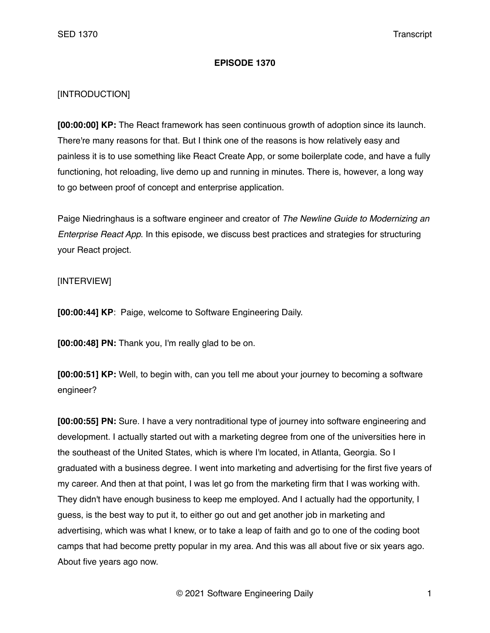## **EPISODE 1370**

## [INTRODUCTION]

**[00:00:00] KP:** The React framework has seen continuous growth of adoption since its launch. There're many reasons for that. But I think one of the reasons is how relatively easy and painless it is to use something like React Create App, or some boilerplate code, and have a fully functioning, hot reloading, live demo up and running in minutes. There is, however, a long way to go between proof of concept and enterprise application.

Paige Niedringhaus is a software engineer and creator of *The Newline Guide to Modernizing an Enterprise React App*. In this episode, we discuss best practices and strategies for structuring your React project.

## [INTERVIEW]

**[00:00:44] KP**: Paige, welcome to Software Engineering Daily.

**[00:00:48] PN:** Thank you, I'm really glad to be on.

**[00:00:51] KP:** Well, to begin with, can you tell me about your journey to becoming a software engineer?

**[00:00:55] PN:** Sure. I have a very nontraditional type of journey into software engineering and development. I actually started out with a marketing degree from one of the universities here in the southeast of the United States, which is where I'm located, in Atlanta, Georgia. So I graduated with a business degree. I went into marketing and advertising for the first five years of my career. And then at that point, I was let go from the marketing firm that I was working with. They didn't have enough business to keep me employed. And I actually had the opportunity, I guess, is the best way to put it, to either go out and get another job in marketing and advertising, which was what I knew, or to take a leap of faith and go to one of the coding boot camps that had become pretty popular in my area. And this was all about five or six years ago. About five years ago now.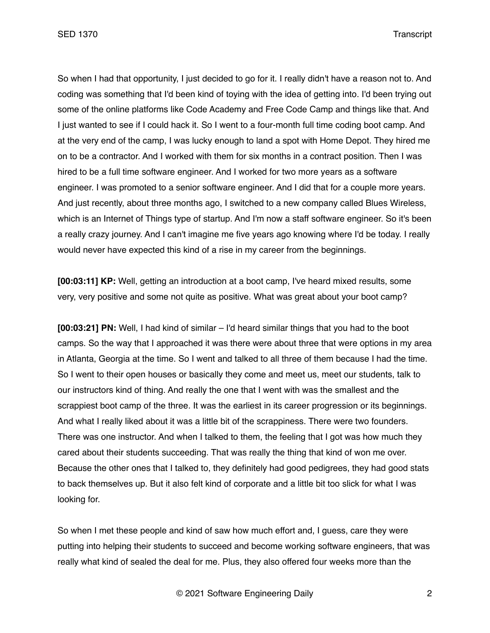So when I had that opportunity, I just decided to go for it. I really didn't have a reason not to. And coding was something that I'd been kind of toying with the idea of getting into. I'd been trying out some of the online platforms like Code Academy and Free Code Camp and things like that. And I just wanted to see if I could hack it. So I went to a four-month full time coding boot camp. And at the very end of the camp, I was lucky enough to land a spot with Home Depot. They hired me on to be a contractor. And I worked with them for six months in a contract position. Then I was hired to be a full time software engineer. And I worked for two more years as a software engineer. I was promoted to a senior software engineer. And I did that for a couple more years. And just recently, about three months ago, I switched to a new company called Blues Wireless, which is an Internet of Things type of startup. And I'm now a staff software engineer. So it's been a really crazy journey. And I can't imagine me five years ago knowing where I'd be today. I really would never have expected this kind of a rise in my career from the beginnings.

**[00:03:11] KP:** Well, getting an introduction at a boot camp, I've heard mixed results, some very, very positive and some not quite as positive. What was great about your boot camp?

**[00:03:21] PN:** Well, I had kind of similar – I'd heard similar things that you had to the boot camps. So the way that I approached it was there were about three that were options in my area in Atlanta, Georgia at the time. So I went and talked to all three of them because I had the time. So I went to their open houses or basically they come and meet us, meet our students, talk to our instructors kind of thing. And really the one that I went with was the smallest and the scrappiest boot camp of the three. It was the earliest in its career progression or its beginnings. And what I really liked about it was a little bit of the scrappiness. There were two founders. There was one instructor. And when I talked to them, the feeling that I got was how much they cared about their students succeeding. That was really the thing that kind of won me over. Because the other ones that I talked to, they definitely had good pedigrees, they had good stats to back themselves up. But it also felt kind of corporate and a little bit too slick for what I was looking for.

So when I met these people and kind of saw how much effort and, I guess, care they were putting into helping their students to succeed and become working software engineers, that was really what kind of sealed the deal for me. Plus, they also offered four weeks more than the

© 2021 Software Engineering Daily 2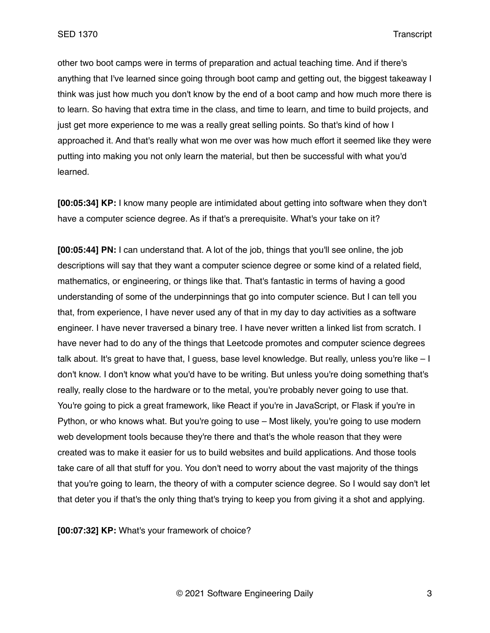other two boot camps were in terms of preparation and actual teaching time. And if there's anything that I've learned since going through boot camp and getting out, the biggest takeaway I think was just how much you don't know by the end of a boot camp and how much more there is to learn. So having that extra time in the class, and time to learn, and time to build projects, and just get more experience to me was a really great selling points. So that's kind of how I approached it. And that's really what won me over was how much effort it seemed like they were putting into making you not only learn the material, but then be successful with what you'd learned.

**[00:05:34] KP:** I know many people are intimidated about getting into software when they don't have a computer science degree. As if that's a prerequisite. What's your take on it?

**[00:05:44] PN:** I can understand that. A lot of the job, things that you'll see online, the job descriptions will say that they want a computer science degree or some kind of a related field, mathematics, or engineering, or things like that. That's fantastic in terms of having a good understanding of some of the underpinnings that go into computer science. But I can tell you that, from experience, I have never used any of that in my day to day activities as a software engineer. I have never traversed a binary tree. I have never written a linked list from scratch. I have never had to do any of the things that Leetcode promotes and computer science degrees talk about. It's great to have that, I guess, base level knowledge. But really, unless you're like – I don't know. I don't know what you'd have to be writing. But unless you're doing something that's really, really close to the hardware or to the metal, you're probably never going to use that. You're going to pick a great framework, like React if you're in JavaScript, or Flask if you're in Python, or who knows what. But you're going to use – Most likely, you're going to use modern web development tools because they're there and that's the whole reason that they were created was to make it easier for us to build websites and build applications. And those tools take care of all that stuff for you. You don't need to worry about the vast majority of the things that you're going to learn, the theory of with a computer science degree. So I would say don't let that deter you if that's the only thing that's trying to keep you from giving it a shot and applying.

**[00:07:32] KP:** What's your framework of choice?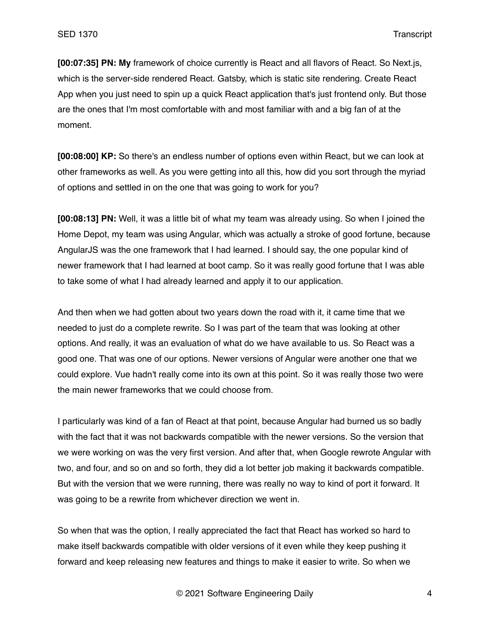**[00:07:35] PN: My** framework of choice currently is React and all flavors of React. So Next.js, which is the server-side rendered React. Gatsby, which is static site rendering. Create React App when you just need to spin up a quick React application that's just frontend only. But those are the ones that I'm most comfortable with and most familiar with and a big fan of at the moment.

**[00:08:00] KP:** So there's an endless number of options even within React, but we can look at other frameworks as well. As you were getting into all this, how did you sort through the myriad of options and settled in on the one that was going to work for you?

**[00:08:13] PN:** Well, it was a little bit of what my team was already using. So when I joined the Home Depot, my team was using Angular, which was actually a stroke of good fortune, because AngularJS was the one framework that I had learned. I should say, the one popular kind of newer framework that I had learned at boot camp. So it was really good fortune that I was able to take some of what I had already learned and apply it to our application.

And then when we had gotten about two years down the road with it, it came time that we needed to just do a complete rewrite. So I was part of the team that was looking at other options. And really, it was an evaluation of what do we have available to us. So React was a good one. That was one of our options. Newer versions of Angular were another one that we could explore. Vue hadn't really come into its own at this point. So it was really those two were the main newer frameworks that we could choose from.

I particularly was kind of a fan of React at that point, because Angular had burned us so badly with the fact that it was not backwards compatible with the newer versions. So the version that we were working on was the very first version. And after that, when Google rewrote Angular with two, and four, and so on and so forth, they did a lot better job making it backwards compatible. But with the version that we were running, there was really no way to kind of port it forward. It was going to be a rewrite from whichever direction we went in.

So when that was the option, I really appreciated the fact that React has worked so hard to make itself backwards compatible with older versions of it even while they keep pushing it forward and keep releasing new features and things to make it easier to write. So when we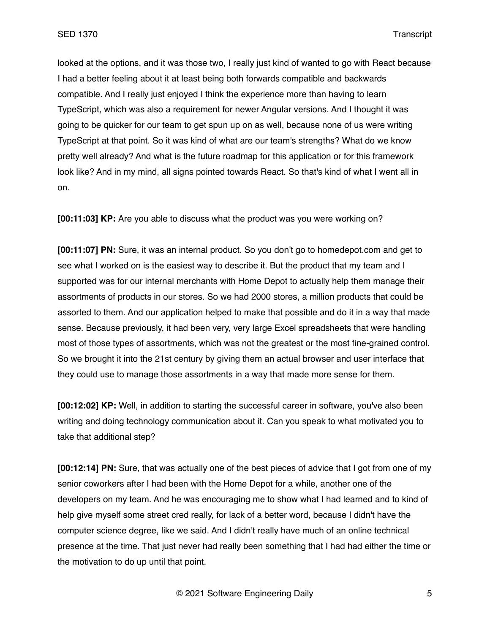looked at the options, and it was those two, I really just kind of wanted to go with React because I had a better feeling about it at least being both forwards compatible and backwards compatible. And I really just enjoyed I think the experience more than having to learn TypeScript, which was also a requirement for newer Angular versions. And I thought it was going to be quicker for our team to get spun up on as well, because none of us were writing TypeScript at that point. So it was kind of what are our team's strengths? What do we know pretty well already? And what is the future roadmap for this application or for this framework look like? And in my mind, all signs pointed towards React. So that's kind of what I went all in on.

**[00:11:03] KP:** Are you able to discuss what the product was you were working on?

**[00:11:07] PN:** Sure, it was an internal product. So you don't go to homedepot.com and get to see what I worked on is the easiest way to describe it. But the product that my team and I supported was for our internal merchants with Home Depot to actually help them manage their assortments of products in our stores. So we had 2000 stores, a million products that could be assorted to them. And our application helped to make that possible and do it in a way that made sense. Because previously, it had been very, very large Excel spreadsheets that were handling most of those types of assortments, which was not the greatest or the most fine-grained control. So we brought it into the 21st century by giving them an actual browser and user interface that they could use to manage those assortments in a way that made more sense for them.

**[00:12:02] KP:** Well, in addition to starting the successful career in software, you've also been writing and doing technology communication about it. Can you speak to what motivated you to take that additional step?

**[00:12:14] PN:** Sure, that was actually one of the best pieces of advice that I got from one of my senior coworkers after I had been with the Home Depot for a while, another one of the developers on my team. And he was encouraging me to show what I had learned and to kind of help give myself some street cred really, for lack of a better word, because I didn't have the computer science degree, like we said. And I didn't really have much of an online technical presence at the time. That just never had really been something that I had had either the time or the motivation to do up until that point.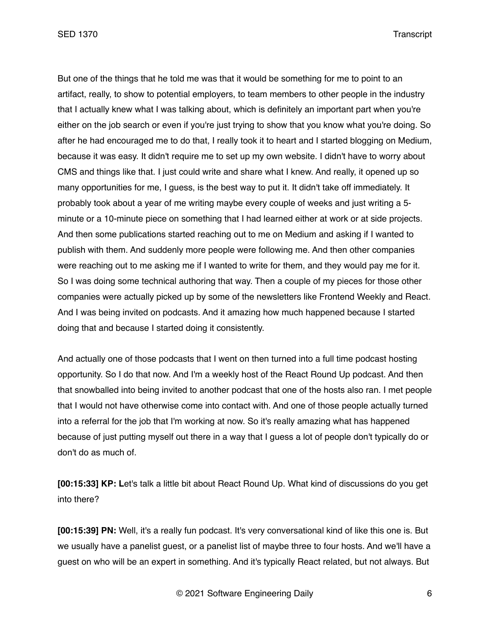But one of the things that he told me was that it would be something for me to point to an artifact, really, to show to potential employers, to team members to other people in the industry that I actually knew what I was talking about, which is definitely an important part when you're either on the job search or even if you're just trying to show that you know what you're doing. So after he had encouraged me to do that, I really took it to heart and I started blogging on Medium, because it was easy. It didn't require me to set up my own website. I didn't have to worry about CMS and things like that. I just could write and share what I knew. And really, it opened up so many opportunities for me, I guess, is the best way to put it. It didn't take off immediately. It probably took about a year of me writing maybe every couple of weeks and just writing a 5 minute or a 10-minute piece on something that I had learned either at work or at side projects. And then some publications started reaching out to me on Medium and asking if I wanted to publish with them. And suddenly more people were following me. And then other companies were reaching out to me asking me if I wanted to write for them, and they would pay me for it. So I was doing some technical authoring that way. Then a couple of my pieces for those other companies were actually picked up by some of the newsletters like Frontend Weekly and React. And I was being invited on podcasts. And it amazing how much happened because I started doing that and because I started doing it consistently.

And actually one of those podcasts that I went on then turned into a full time podcast hosting opportunity. So I do that now. And I'm a weekly host of the React Round Up podcast. And then that snowballed into being invited to another podcast that one of the hosts also ran. I met people that I would not have otherwise come into contact with. And one of those people actually turned into a referral for the job that I'm working at now. So it's really amazing what has happened because of just putting myself out there in a way that I guess a lot of people don't typically do or don't do as much of.

**[00:15:33] KP: L**et's talk a little bit about React Round Up. What kind of discussions do you get into there?

**[00:15:39] PN:** Well, it's a really fun podcast. It's very conversational kind of like this one is. But we usually have a panelist guest, or a panelist list of maybe three to four hosts. And we'll have a guest on who will be an expert in something. And it's typically React related, but not always. But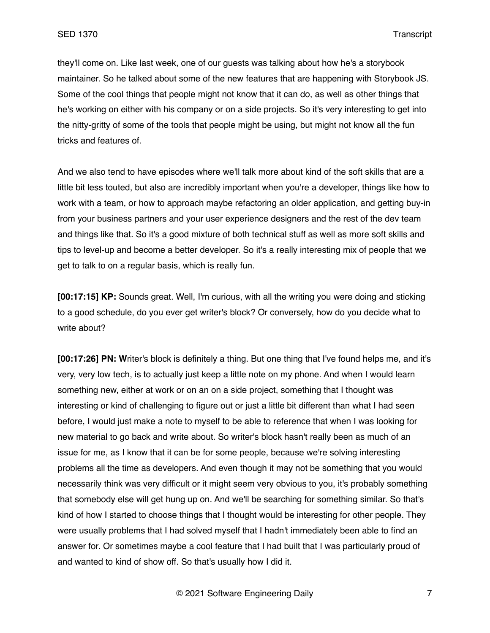they'll come on. Like last week, one of our guests was talking about how he's a storybook maintainer. So he talked about some of the new features that are happening with Storybook JS. Some of the cool things that people might not know that it can do, as well as other things that he's working on either with his company or on a side projects. So it's very interesting to get into the nitty-gritty of some of the tools that people might be using, but might not know all the fun tricks and features of.

And we also tend to have episodes where we'll talk more about kind of the soft skills that are a little bit less touted, but also are incredibly important when you're a developer, things like how to work with a team, or how to approach maybe refactoring an older application, and getting buy-in from your business partners and your user experience designers and the rest of the dev team and things like that. So it's a good mixture of both technical stuff as well as more soft skills and tips to level-up and become a better developer. So it's a really interesting mix of people that we get to talk to on a regular basis, which is really fun.

**[00:17:15] KP:** Sounds great. Well, I'm curious, with all the writing you were doing and sticking to a good schedule, do you ever get writer's block? Or conversely, how do you decide what to write about?

**[00:17:26] PN: W**riter's block is definitely a thing. But one thing that I've found helps me, and it's very, very low tech, is to actually just keep a little note on my phone. And when I would learn something new, either at work or on an on a side project, something that I thought was interesting or kind of challenging to figure out or just a little bit different than what I had seen before, I would just make a note to myself to be able to reference that when I was looking for new material to go back and write about. So writer's block hasn't really been as much of an issue for me, as I know that it can be for some people, because we're solving interesting problems all the time as developers. And even though it may not be something that you would necessarily think was very difficult or it might seem very obvious to you, it's probably something that somebody else will get hung up on. And we'll be searching for something similar. So that's kind of how I started to choose things that I thought would be interesting for other people. They were usually problems that I had solved myself that I hadn't immediately been able to find an answer for. Or sometimes maybe a cool feature that I had built that I was particularly proud of and wanted to kind of show off. So that's usually how I did it.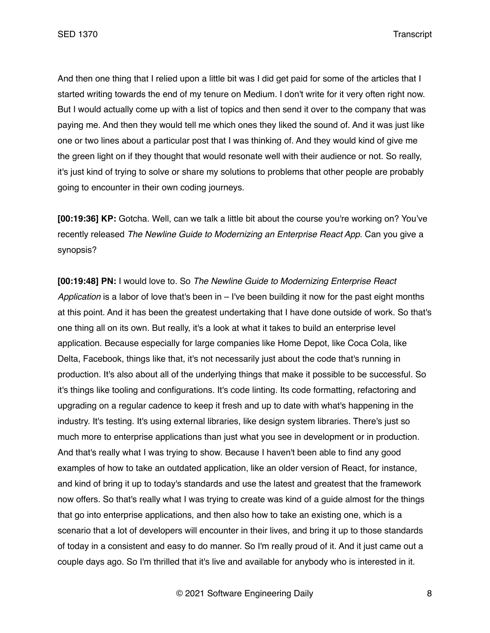And then one thing that I relied upon a little bit was I did get paid for some of the articles that I started writing towards the end of my tenure on Medium. I don't write for it very often right now. But I would actually come up with a list of topics and then send it over to the company that was paying me. And then they would tell me which ones they liked the sound of. And it was just like one or two lines about a particular post that I was thinking of. And they would kind of give me the green light on if they thought that would resonate well with their audience or not. So really, it's just kind of trying to solve or share my solutions to problems that other people are probably going to encounter in their own coding journeys.

**[00:19:36] KP:** Gotcha. Well, can we talk a little bit about the course you're working on? You've recently released *The Newline Guide to Modernizing an Enterprise React App*. Can you give a synopsis?

**[00:19:48] PN:** I would love to. So *The Newline Guide to Modernizing Enterprise React Application* is a labor of love that's been in – I've been building it now for the past eight months at this point. And it has been the greatest undertaking that I have done outside of work. So that's one thing all on its own. But really, it's a look at what it takes to build an enterprise level application. Because especially for large companies like Home Depot, like Coca Cola, like Delta, Facebook, things like that, it's not necessarily just about the code that's running in production. It's also about all of the underlying things that make it possible to be successful. So it's things like tooling and configurations. It's code linting. Its code formatting, refactoring and upgrading on a regular cadence to keep it fresh and up to date with what's happening in the industry. It's testing. It's using external libraries, like design system libraries. There's just so much more to enterprise applications than just what you see in development or in production. And that's really what I was trying to show. Because I haven't been able to find any good examples of how to take an outdated application, like an older version of React, for instance, and kind of bring it up to today's standards and use the latest and greatest that the framework now offers. So that's really what I was trying to create was kind of a guide almost for the things that go into enterprise applications, and then also how to take an existing one, which is a scenario that a lot of developers will encounter in their lives, and bring it up to those standards of today in a consistent and easy to do manner. So I'm really proud of it. And it just came out a couple days ago. So I'm thrilled that it's live and available for anybody who is interested in it.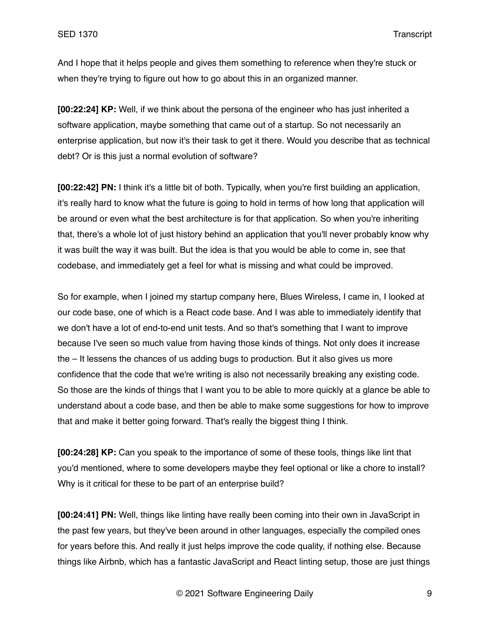And I hope that it helps people and gives them something to reference when they're stuck or when they're trying to figure out how to go about this in an organized manner.

**[00:22:24] KP:** Well, if we think about the persona of the engineer who has just inherited a software application, maybe something that came out of a startup. So not necessarily an enterprise application, but now it's their task to get it there. Would you describe that as technical debt? Or is this just a normal evolution of software?

**[00:22:42] PN:** I think it's a little bit of both. Typically, when you're first building an application, it's really hard to know what the future is going to hold in terms of how long that application will be around or even what the best architecture is for that application. So when you're inheriting that, there's a whole lot of just history behind an application that you'll never probably know why it was built the way it was built. But the idea is that you would be able to come in, see that codebase, and immediately get a feel for what is missing and what could be improved.

So for example, when I joined my startup company here, Blues Wireless, I came in, I looked at our code base, one of which is a React code base. And I was able to immediately identify that we don't have a lot of end-to-end unit tests. And so that's something that I want to improve because I've seen so much value from having those kinds of things. Not only does it increase the – It lessens the chances of us adding bugs to production. But it also gives us more confidence that the code that we're writing is also not necessarily breaking any existing code. So those are the kinds of things that I want you to be able to more quickly at a glance be able to understand about a code base, and then be able to make some suggestions for how to improve that and make it better going forward. That's really the biggest thing I think.

**[00:24:28] KP:** Can you speak to the importance of some of these tools, things like lint that you'd mentioned, where to some developers maybe they feel optional or like a chore to install? Why is it critical for these to be part of an enterprise build?

**[00:24:41] PN:** Well, things like linting have really been coming into their own in JavaScript in the past few years, but they've been around in other languages, especially the compiled ones for years before this. And really it just helps improve the code quality, if nothing else. Because things like Airbnb, which has a fantastic JavaScript and React linting setup, those are just things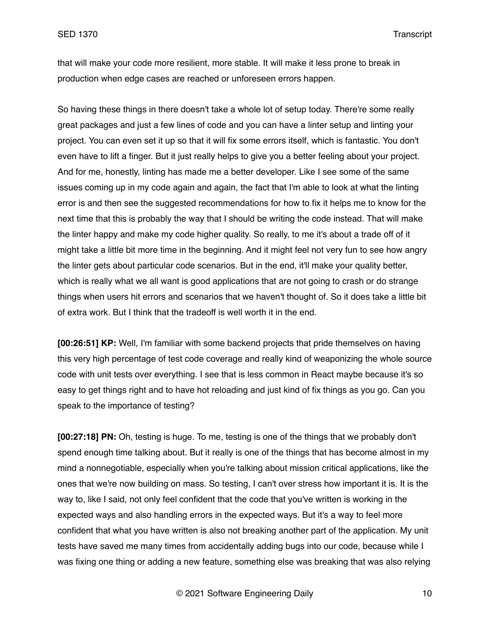that will make your code more resilient, more stable. It will make it less prone to break in production when edge cases are reached or unforeseen errors happen.

So having these things in there doesn't take a whole lot of setup today. There're some really great packages and just a few lines of code and you can have a linter setup and linting your project. You can even set it up so that it will fix some errors itself, which is fantastic. You don't even have to lift a finger. But it just really helps to give you a better feeling about your project. And for me, honestly, linting has made me a better developer. Like I see some of the same issues coming up in my code again and again, the fact that I'm able to look at what the linting error is and then see the suggested recommendations for how to fix it helps me to know for the next time that this is probably the way that I should be writing the code instead. That will make the linter happy and make my code higher quality. So really, to me it's about a trade off of it might take a little bit more time in the beginning. And it might feel not very fun to see how angry the linter gets about particular code scenarios. But in the end, it'll make your quality better, which is really what we all want is good applications that are not going to crash or do strange things when users hit errors and scenarios that we haven't thought of. So it does take a little bit of extra work. But I think that the tradeoff is well worth it in the end.

**[00:26:51] KP:** Well, I'm familiar with some backend projects that pride themselves on having this very high percentage of test code coverage and really kind of weaponizing the whole source code with unit tests over everything. I see that is less common in React maybe because it's so easy to get things right and to have hot reloading and just kind of fix things as you go. Can you speak to the importance of testing?

**[00:27:18] PN:** Oh, testing is huge. To me, testing is one of the things that we probably don't spend enough time talking about. But it really is one of the things that has become almost in my mind a nonnegotiable, especially when you're talking about mission critical applications, like the ones that we're now building on mass. So testing, I can't over stress how important it is. It is the way to, like I said, not only feel confident that the code that you've written is working in the expected ways and also handling errors in the expected ways. But it's a way to feel more confident that what you have written is also not breaking another part of the application. My unit tests have saved me many times from accidentally adding bugs into our code, because while I was fixing one thing or adding a new feature, something else was breaking that was also relying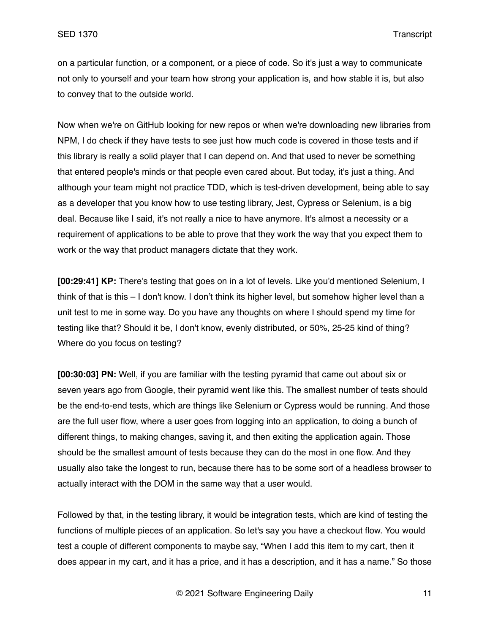on a particular function, or a component, or a piece of code. So it's just a way to communicate not only to yourself and your team how strong your application is, and how stable it is, but also to convey that to the outside world.

Now when we're on GitHub looking for new repos or when we're downloading new libraries from NPM, I do check if they have tests to see just how much code is covered in those tests and if this library is really a solid player that I can depend on. And that used to never be something that entered people's minds or that people even cared about. But today, it's just a thing. And although your team might not practice TDD, which is test-driven development, being able to say as a developer that you know how to use testing library, Jest, Cypress or Selenium, is a big deal. Because like I said, it's not really a nice to have anymore. It's almost a necessity or a requirement of applications to be able to prove that they work the way that you expect them to work or the way that product managers dictate that they work.

**[00:29:41] KP:** There's testing that goes on in a lot of levels. Like you'd mentioned Selenium, I think of that is this – I don't know. I don't think its higher level, but somehow higher level than a unit test to me in some way. Do you have any thoughts on where I should spend my time for testing like that? Should it be, I don't know, evenly distributed, or 50%, 25-25 kind of thing? Where do you focus on testing?

**[00:30:03] PN:** Well, if you are familiar with the testing pyramid that came out about six or seven years ago from Google, their pyramid went like this. The smallest number of tests should be the end-to-end tests, which are things like Selenium or Cypress would be running. And those are the full user flow, where a user goes from logging into an application, to doing a bunch of different things, to making changes, saving it, and then exiting the application again. Those should be the smallest amount of tests because they can do the most in one flow. And they usually also take the longest to run, because there has to be some sort of a headless browser to actually interact with the DOM in the same way that a user would.

Followed by that, in the testing library, it would be integration tests, which are kind of testing the functions of multiple pieces of an application. So let's say you have a checkout flow. You would test a couple of different components to maybe say, "When I add this item to my cart, then it does appear in my cart, and it has a price, and it has a description, and it has a name." So those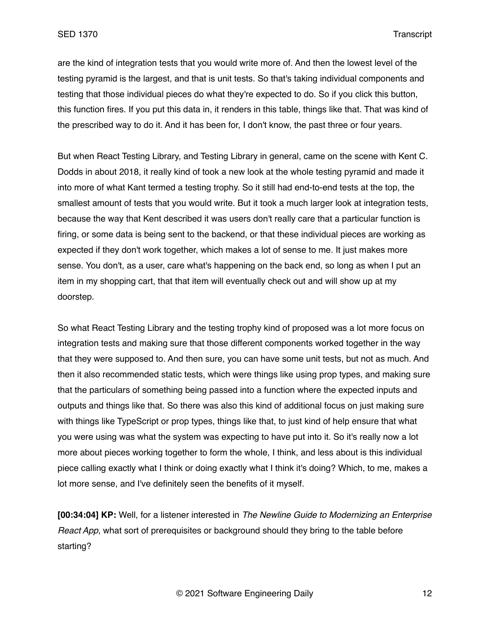are the kind of integration tests that you would write more of. And then the lowest level of the testing pyramid is the largest, and that is unit tests. So that's taking individual components and testing that those individual pieces do what they're expected to do. So if you click this button, this function fires. If you put this data in, it renders in this table, things like that. That was kind of the prescribed way to do it. And it has been for, I don't know, the past three or four years.

But when React Testing Library, and Testing Library in general, came on the scene with Kent C. Dodds in about 2018, it really kind of took a new look at the whole testing pyramid and made it into more of what Kant termed a testing trophy. So it still had end-to-end tests at the top, the smallest amount of tests that you would write. But it took a much larger look at integration tests, because the way that Kent described it was users don't really care that a particular function is firing, or some data is being sent to the backend, or that these individual pieces are working as expected if they don't work together, which makes a lot of sense to me. It just makes more sense. You don't, as a user, care what's happening on the back end, so long as when I put an item in my shopping cart, that that item will eventually check out and will show up at my doorstep.

So what React Testing Library and the testing trophy kind of proposed was a lot more focus on integration tests and making sure that those different components worked together in the way that they were supposed to. And then sure, you can have some unit tests, but not as much. And then it also recommended static tests, which were things like using prop types, and making sure that the particulars of something being passed into a function where the expected inputs and outputs and things like that. So there was also this kind of additional focus on just making sure with things like TypeScript or prop types, things like that, to just kind of help ensure that what you were using was what the system was expecting to have put into it. So it's really now a lot more about pieces working together to form the whole, I think, and less about is this individual piece calling exactly what I think or doing exactly what I think it's doing? Which, to me, makes a lot more sense, and I've definitely seen the benefits of it myself.

**[00:34:04] KP:** Well, for a listener interested in *The Newline Guide to Modernizing an Enterprise React App*, what sort of prerequisites or background should they bring to the table before starting?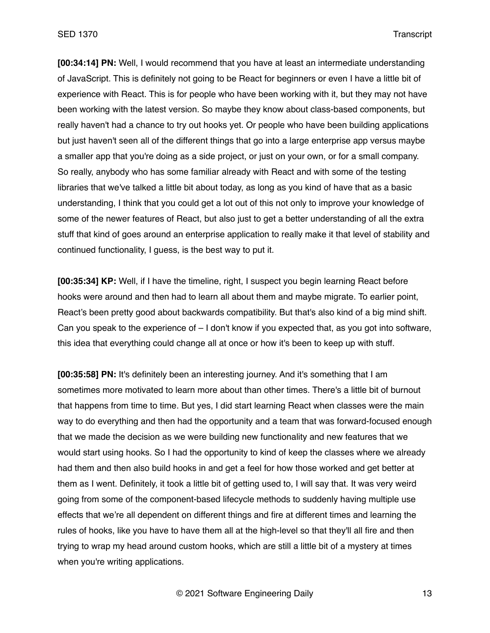**[00:34:14] PN:** Well, I would recommend that you have at least an intermediate understanding of JavaScript. This is definitely not going to be React for beginners or even I have a little bit of experience with React. This is for people who have been working with it, but they may not have been working with the latest version. So maybe they know about class-based components, but really haven't had a chance to try out hooks yet. Or people who have been building applications but just haven't seen all of the different things that go into a large enterprise app versus maybe a smaller app that you're doing as a side project, or just on your own, or for a small company. So really, anybody who has some familiar already with React and with some of the testing libraries that we've talked a little bit about today, as long as you kind of have that as a basic understanding, I think that you could get a lot out of this not only to improve your knowledge of some of the newer features of React, but also just to get a better understanding of all the extra stuff that kind of goes around an enterprise application to really make it that level of stability and continued functionality, I guess, is the best way to put it.

**[00:35:34] KP:** Well, if I have the timeline, right, I suspect you begin learning React before hooks were around and then had to learn all about them and maybe migrate. To earlier point, React's been pretty good about backwards compatibility. But that's also kind of a big mind shift. Can you speak to the experience of – I don't know if you expected that, as you got into software, this idea that everything could change all at once or how it's been to keep up with stuff.

**[00:35:58] PN:** It's definitely been an interesting journey. And it's something that I am sometimes more motivated to learn more about than other times. There's a little bit of burnout that happens from time to time. But yes, I did start learning React when classes were the main way to do everything and then had the opportunity and a team that was forward-focused enough that we made the decision as we were building new functionality and new features that we would start using hooks. So I had the opportunity to kind of keep the classes where we already had them and then also build hooks in and get a feel for how those worked and get better at them as I went. Definitely, it took a little bit of getting used to, I will say that. It was very weird going from some of the component-based lifecycle methods to suddenly having multiple use effects that we're all dependent on different things and fire at different times and learning the rules of hooks, like you have to have them all at the high-level so that they'll all fire and then trying to wrap my head around custom hooks, which are still a little bit of a mystery at times when you're writing applications.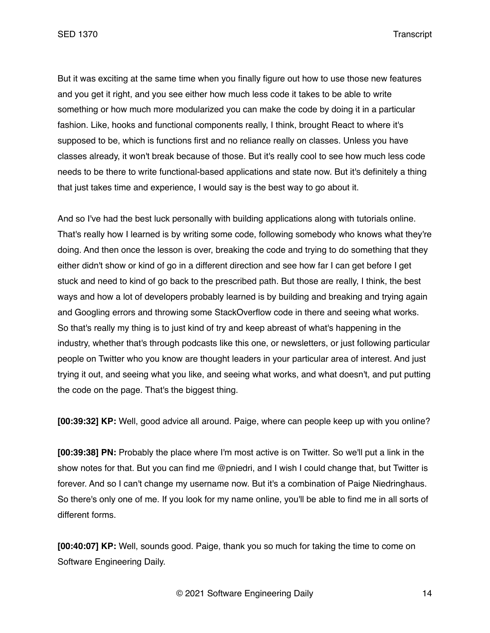But it was exciting at the same time when you finally figure out how to use those new features and you get it right, and you see either how much less code it takes to be able to write something or how much more modularized you can make the code by doing it in a particular fashion. Like, hooks and functional components really, I think, brought React to where it's supposed to be, which is functions first and no reliance really on classes. Unless you have classes already, it won't break because of those. But it's really cool to see how much less code needs to be there to write functional-based applications and state now. But it's definitely a thing that just takes time and experience, I would say is the best way to go about it.

And so I've had the best luck personally with building applications along with tutorials online. That's really how I learned is by writing some code, following somebody who knows what they're doing. And then once the lesson is over, breaking the code and trying to do something that they either didn't show or kind of go in a different direction and see how far I can get before I get stuck and need to kind of go back to the prescribed path. But those are really, I think, the best ways and how a lot of developers probably learned is by building and breaking and trying again and Googling errors and throwing some StackOverflow code in there and seeing what works. So that's really my thing is to just kind of try and keep abreast of what's happening in the industry, whether that's through podcasts like this one, or newsletters, or just following particular people on Twitter who you know are thought leaders in your particular area of interest. And just trying it out, and seeing what you like, and seeing what works, and what doesn't, and put putting the code on the page. That's the biggest thing.

**[00:39:32] KP:** Well, good advice all around. Paige, where can people keep up with you online?

**[00:39:38] PN:** Probably the place where I'm most active is on Twitter. So we'll put a link in the show notes for that. But you can find me @pniedri, and I wish I could change that, but Twitter is forever. And so I can't change my username now. But it's a combination of Paige Niedringhaus. So there's only one of me. If you look for my name online, you'll be able to find me in all sorts of different forms.

**[00:40:07] KP:** Well, sounds good. Paige, thank you so much for taking the time to come on Software Engineering Daily.